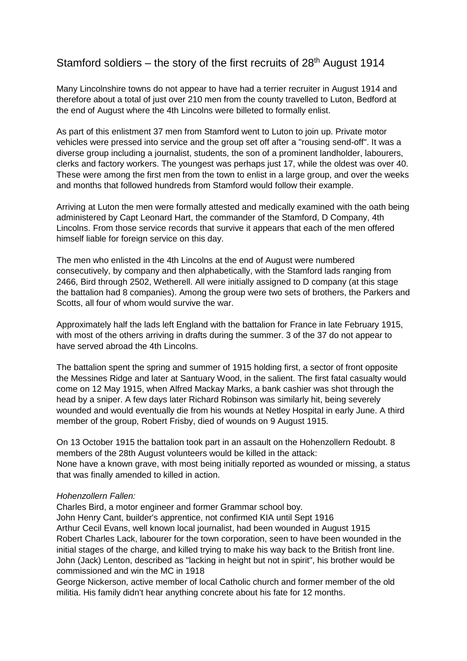## Stamford soldiers – the story of the first recruits of  $28<sup>th</sup>$  August 1914

Many Lincolnshire towns do not appear to have had a terrier recruiter in August 1914 and therefore about a total of just over 210 men from the county travelled to Luton, Bedford at the end of August where the 4th Lincolns were billeted to formally enlist.

As part of this enlistment 37 men from Stamford went to Luton to join up. Private motor vehicles were pressed into service and the group set off after a "rousing send-off". It was a diverse group including a journalist, students, the son of a prominent landholder, labourers, clerks and factory workers. The youngest was perhaps just 17, while the oldest was over 40. These were among the first men from the town to enlist in a large group, and over the weeks and months that followed hundreds from Stamford would follow their example.

Arriving at Luton the men were formally attested and medically examined with the oath being administered by Capt Leonard Hart, the commander of the Stamford, D Company, 4th Lincolns. From those service records that survive it appears that each of the men offered himself liable for foreign service on this day.

The men who enlisted in the 4th Lincolns at the end of August were numbered consecutively, by company and then alphabetically, with the Stamford lads ranging from 2466, Bird through 2502, Wetherell. All were initially assigned to D company (at this stage the battalion had 8 companies). Among the group were two sets of brothers, the Parkers and Scotts, all four of whom would survive the war.

Approximately half the lads left England with the battalion for France in late February 1915, with most of the others arriving in drafts during the summer. 3 of the 37 do not appear to have served abroad the 4th Lincolns.

The battalion spent the spring and summer of 1915 holding first, a sector of front opposite the Messines Ridge and later at Santuary Wood, in the salient. The first fatal casualty would come on 12 May 1915, when Alfred Mackay Marks, a bank cashier was shot through the head by a sniper. A few days later Richard Robinson was similarly hit, being severely wounded and would eventually die from his wounds at Netley Hospital in early June. A third member of the group, Robert Frisby, died of wounds on 9 August 1915.

On 13 October 1915 the battalion took part in an assault on the Hohenzollern Redoubt. 8 members of the 28th August volunteers would be killed in the attack: None have a known grave, with most being initially reported as wounded or missing, a status that was finally amended to killed in action.

## *Hohenzollern Fallen:*

Charles Bird, a motor engineer and former Grammar school boy. John Henry Cant, builder's apprentice, not confirmed KIA until Sept 1916 Arthur Cecil Evans, well known local journalist, had been wounded in August 1915 Robert Charles Lack, labourer for the town corporation, seen to have been wounded in the initial stages of the charge, and killed trying to make his way back to the British front line. John (Jack) Lenton, described as "lacking in height but not in spirit", his brother would be commissioned and win the MC in 1918

George Nickerson, active member of local Catholic church and former member of the old militia. His family didn't hear anything concrete about his fate for 12 months.